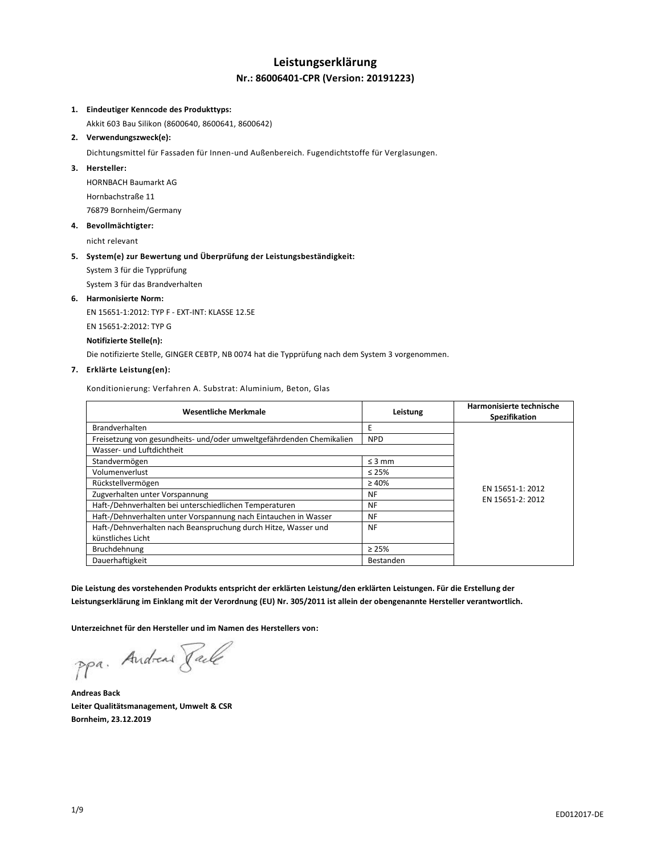# **Leistungserklärung Nr.: 86006401-CPR (Version: 20191223)**

## **1. Eindeutiger Kenncode des Produkttyps:**

Akkit 603 Bau Silikon (8600640, 8600641, 8600642)

## **2. Verwendungszweck(e):**

Dichtungsmittel für Fassaden für Innen-und Außenbereich. Fugendichtstoffe für Verglasungen.

#### **3. Hersteller:**

HORNBACH Baumarkt AG Hornbachstraße 11 76879 Bornheim/Germany

#### **4. Bevollmächtigter:**

nicht relevant

## **5. System(e) zur Bewertung und Überprüfung der Leistungsbeständigkeit:**

System 3 für die Typprüfung

System 3 für das Brandverhalten

#### **6. Harmonisierte Norm:**

EN 15651-1:2012: TYP F - EXT-INT: KLASSE 12.5E EN 15651-2:2012: TYP G **Notifizierte Stelle(n):**

Die notifizierte Stelle, GINGER CEBTP, NB 0074 hat die Typprüfung nach dem System 3 vorgenommen.

## **7. Erklärte Leistung(en):**

Konditionierung: Verfahren A. Substrat: Aluminium, Beton, Glas

| <b>Wesentliche Merkmale</b>                                          | Leistung    | Harmonisierte technische<br>Spezifikation |
|----------------------------------------------------------------------|-------------|-------------------------------------------|
| <b>Brandverhalten</b>                                                | E           |                                           |
| Freisetzung von gesundheits- und/oder umweltgefährdenden Chemikalien | <b>NPD</b>  |                                           |
| Wasser- und Luftdichtheit                                            |             |                                           |
| Standvermögen                                                        | $\leq$ 3 mm |                                           |
| Volumenverlust                                                       | $\leq 25\%$ |                                           |
| Rückstellvermögen                                                    | $\geq 40\%$ |                                           |
| Zugverhalten unter Vorspannung                                       | <b>NF</b>   | EN 15651-1: 2012<br>EN 15651-2: 2012      |
| Haft-/Dehnverhalten bei unterschiedlichen Temperaturen               | <b>NF</b>   |                                           |
| Haft-/Dehnverhalten unter Vorspannung nach Eintauchen in Wasser      | <b>NF</b>   |                                           |
| Haft-/Dehnverhalten nach Beanspruchung durch Hitze, Wasser und       | <b>NF</b>   |                                           |
| künstliches Licht                                                    |             |                                           |
| Bruchdehnung                                                         | $\geq 25\%$ |                                           |
| Dauerhaftigkeit                                                      | Bestanden   |                                           |

**Die Leistung des vorstehenden Produkts entspricht der erklärten Leistung/den erklärten Leistungen. Für die Erstellung der Leistungserklärung im Einklang mit der Verordnung (EU) Nr. 305/2011 ist allein der obengenannte Hersteller verantwortlich.**

**Unterzeichnet für den Hersteller und im Namen des Herstellers von:**

ppa. Andreas Pale

**Andreas Back Leiter Qualitätsmanagement, Umwelt & CSR Bornheim, 23.12.2019**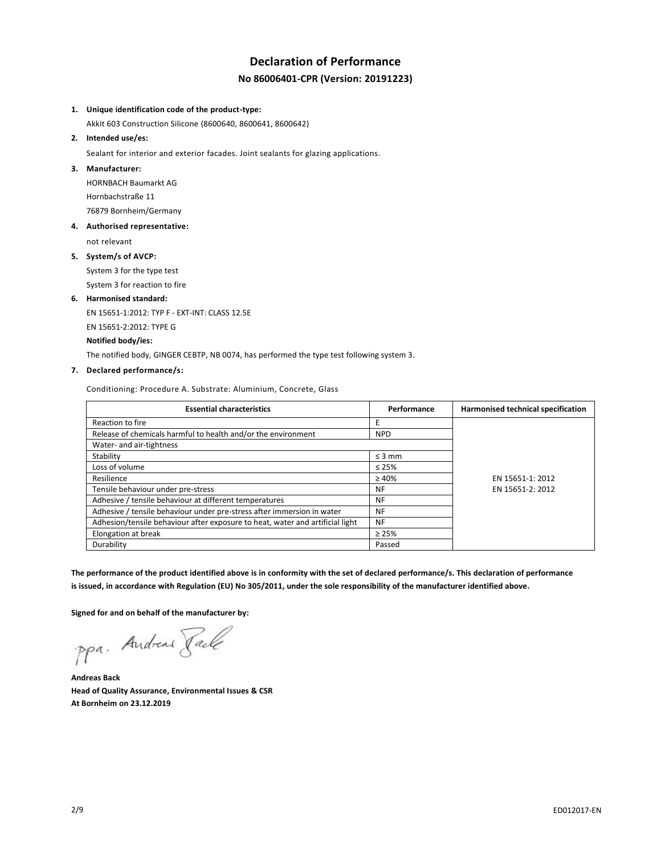# **Declaration of Performance No 86006401-CPR (Version: 20191223)**

## **1. Unique identification code of the product-type:**

Akkit 603 Construction Silicone (8600640, 8600641, 8600642)

# **2. Intended use/es:**

Sealant for interior and exterior facades. Joint sealants for glazing applications.

#### **3. Manufacturer:**

HORNBACH Baumarkt AG Hornbachstraße 11 76879 Bornheim/Germany

## **4. Authorised representative:**

not relevant

## **5. System/s of AVCP:**

System 3 for the type test System 3 for reaction to fire

# **6. Harmonised standard:**

EN 15651-1:2012: TYP F - EXT-INT: CLASS 12.5E EN 15651-2:2012: TYPE G **Notified body/ies:**

The notified body, GINGER CEBTP, NB 0074, has performed the type test following system 3.

## **7. Declared performance/s:**

Conditioning: Procedure A. Substrate: Aluminium, Concrete, Glass

| <b>Essential characteristics</b>                                              | Performance | Harmonised technical specification |
|-------------------------------------------------------------------------------|-------------|------------------------------------|
| Reaction to fire                                                              |             |                                    |
| Release of chemicals harmful to health and/or the environment                 | <b>NPD</b>  |                                    |
| Water- and air-tightness                                                      |             |                                    |
| Stability                                                                     | $\leq$ 3 mm |                                    |
| Loss of volume                                                                | $\leq 25\%$ |                                    |
| Resilience                                                                    | $\geq 40\%$ | EN 15651-1: 2012                   |
| Tensile behaviour under pre-stress                                            | NF          | EN 15651-2: 2012                   |
| Adhesive / tensile behaviour at different temperatures                        | NF          |                                    |
| Adhesive / tensile behaviour under pre-stress after immersion in water        | NF          |                                    |
| Adhesion/tensile behaviour after exposure to heat, water and artificial light | <b>NF</b>   |                                    |
| Elongation at break                                                           | $\geq 25\%$ |                                    |
| Durability                                                                    | Passed      |                                    |

**The performance of the product identified above is in conformity with the set of declared performance/s. This declaration of performance is issued, in accordance with Regulation (EU) No 305/2011, under the sole responsibility of the manufacturer identified above.**

**Signed for and on behalf of the manufacturer by:**

ppa. Andreas Face

**Andreas Back Head of Quality Assurance, Environmental Issues & CSR At Bornheim on 23.12.2019**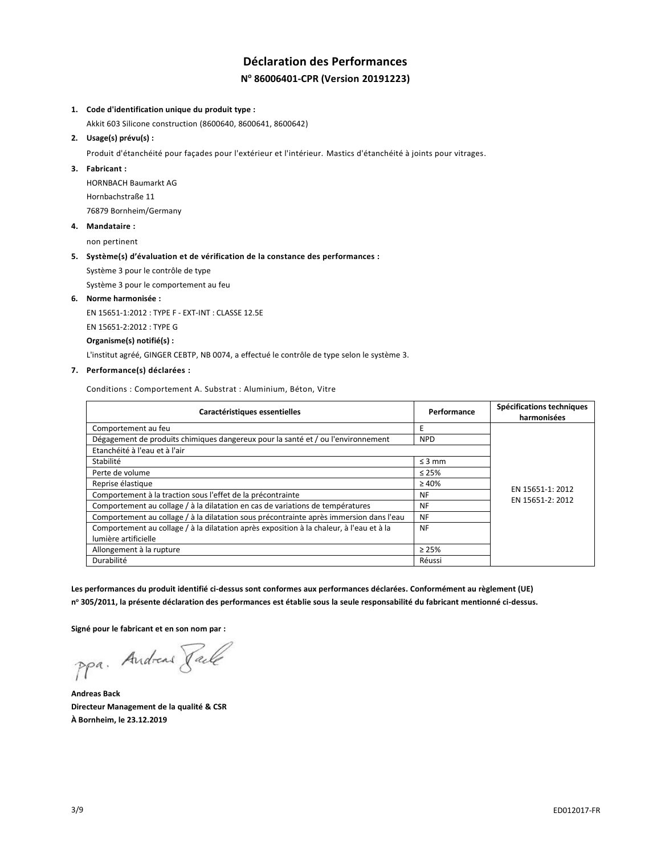# **Déclaration des Performances N <sup>o</sup> 86006401-CPR (Version 20191223)**

### **1. Code d'identification unique du produit type :**

Akkit 603 Silicone construction (8600640, 8600641, 8600642)

#### **2. Usage(s) prévu(s) :**

Produit d'étanchéité pour façades pour l'extérieur et l'intérieur. Mastics d'étanchéité à joints pour vitrages.

### **3. Fabricant :**

HORNBACH Baumarkt AG Hornbachstraße 11 76879 Bornheim/Germany

**4. Mandataire :**

non pertinent

#### **5. Système(s) d'évaluation et de vérification de la constance des performances :**

Système 3 pour le contrôle de type

Système 3 pour le comportement au feu

**6. Norme harmonisée :**

EN 15651-1:2012 : TYPE F - EXT-INT : CLASSE 12.5E

EN 15651-2:2012 : TYPE G

**Organisme(s) notifié(s) :**

L'institut agréé, GINGER CEBTP, NB 0074, a effectué le contrôle de type selon le système 3.

## **7. Performance(s) déclarées :**

Conditions : Comportement A. Substrat : Aluminium, Béton, Vitre

| Caractéristiques essentielles                                                            | Performance | Spécifications techniques |
|------------------------------------------------------------------------------------------|-------------|---------------------------|
|                                                                                          |             | harmonisées               |
| Comportement au feu                                                                      | E           |                           |
| Dégagement de produits chimiques dangereux pour la santé et / ou l'environnement         | <b>NPD</b>  |                           |
| Etanchéité à l'eau et à l'air                                                            |             |                           |
| Stabilité                                                                                | $\leq$ 3 mm |                           |
| Perte de volume                                                                          | $\leq 25\%$ |                           |
| Reprise élastique                                                                        | $\geq 40\%$ | EN 15651-1: 2012          |
| Comportement à la traction sous l'effet de la précontrainte                              | <b>NF</b>   | EN 15651-2: 2012          |
| Comportement au collage / à la dilatation en cas de variations de températures           | <b>NF</b>   |                           |
| Comportement au collage / à la dilatation sous précontrainte après immersion dans l'eau  | <b>NF</b>   |                           |
| Comportement au collage / à la dilatation après exposition à la chaleur, à l'eau et à la | <b>NF</b>   |                           |
| lumière artificielle                                                                     |             |                           |
| Allongement à la rupture                                                                 | $\geq 25\%$ |                           |
| Durabilité                                                                               | Réussi      |                           |

**Les performances du produit identifié ci-dessus sont conformes aux performances déclarées. Conformément au règlement (UE) n <sup>o</sup> 305/2011, la présente déclaration des performances est établie sous la seule responsabilité du fabricant mentionné ci-dessus.**

**Signé pour le fabricant et en son nom par :**

ppa. Andreas Face

**Andreas Back Directeur Management de la qualité & CSR À Bornheim, le 23.12.2019**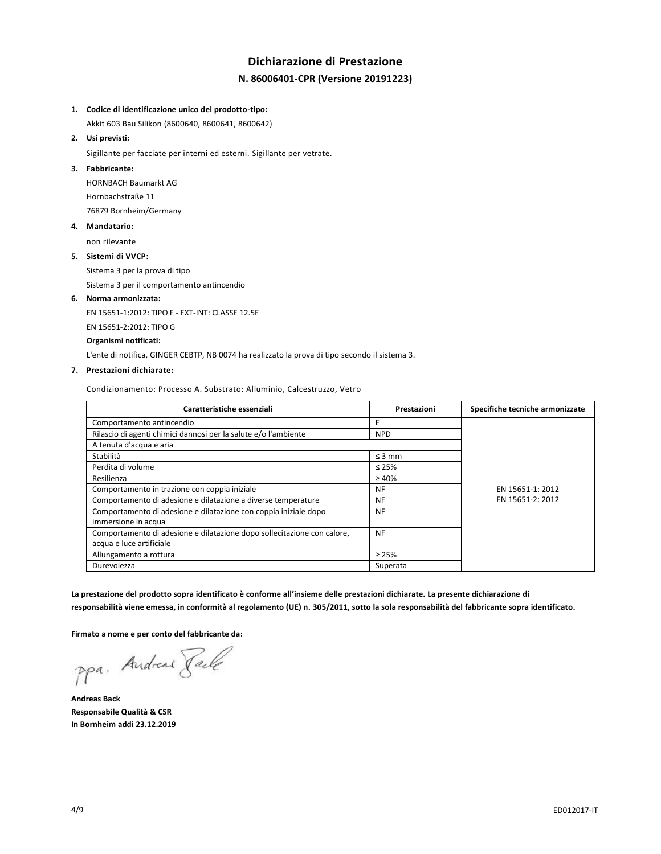# **Dichiarazione di Prestazione N. 86006401-CPR (Versione 20191223)**

#### **1. Codice di identificazione unico del prodotto-tipo:**

Akkit 603 Bau Silikon (8600640, 8600641, 8600642)

# **2. Usi previsti:**

Sigillante per facciate per interni ed esterni. Sigillante per vetrate.

## **3. Fabbricante:**

HORNBACH Baumarkt AG Hornbachstraße 11 76879 Bornheim/Germany

## **4. Mandatario:**

non rilevante

## **5. Sistemi di VVCP:**

Sistema 3 per la prova di tipo

Sistema 3 per il comportamento antincendio

## **6. Norma armonizzata:**

EN 15651-1:2012: TIPO F - EXT-INT: CLASSE 12.5E

EN 15651-2:2012: TIPO G

## **Organismi notificati:**

L'ente di notifica, GINGER CEBTP, NB 0074 ha realizzato la prova di tipo secondo il sistema 3.

### **7. Prestazioni dichiarate:**

Condizionamento: Processo A. Substrato: Alluminio, Calcestruzzo, Vetro

| Caratteristiche essenziali                                              | Prestazioni | Specifiche tecniche armonizzate |
|-------------------------------------------------------------------------|-------------|---------------------------------|
| Comportamento antincendio                                               | E           |                                 |
| Rilascio di agenti chimici dannosi per la salute e/o l'ambiente         | <b>NPD</b>  |                                 |
| A tenuta d'acqua e aria                                                 |             |                                 |
| Stabilità                                                               | $\leq$ 3 mm |                                 |
| Perdita di volume                                                       | $\leq 25\%$ |                                 |
| Resilienza                                                              | $\geq 40\%$ |                                 |
| Comportamento in trazione con coppia iniziale                           | NF          | EN 15651-1: 2012                |
| Comportamento di adesione e dilatazione a diverse temperature           | NF          | EN 15651-2: 2012                |
| Comportamento di adesione e dilatazione con coppia iniziale dopo        | <b>NF</b>   |                                 |
| immersione in acqua                                                     |             |                                 |
| Comportamento di adesione e dilatazione dopo sollecitazione con calore, | <b>NF</b>   |                                 |
| acqua e luce artificiale                                                |             |                                 |
| Allungamento a rottura                                                  | $\geq 25\%$ |                                 |
| Durevolezza                                                             | Superata    |                                 |

**La prestazione del prodotto sopra identificato è conforme all'insieme delle prestazioni dichiarate. La presente dichiarazione di responsabilità viene emessa, in conformità al regolamento (UE) n. 305/2011, sotto la sola responsabilità del fabbricante sopra identificato.**

**Firmato a nome e per conto del fabbricante da:**

ppa. Andreas Paule

**Andreas Back Responsabile Qualità & CSR In Bornheim addì 23.12.2019**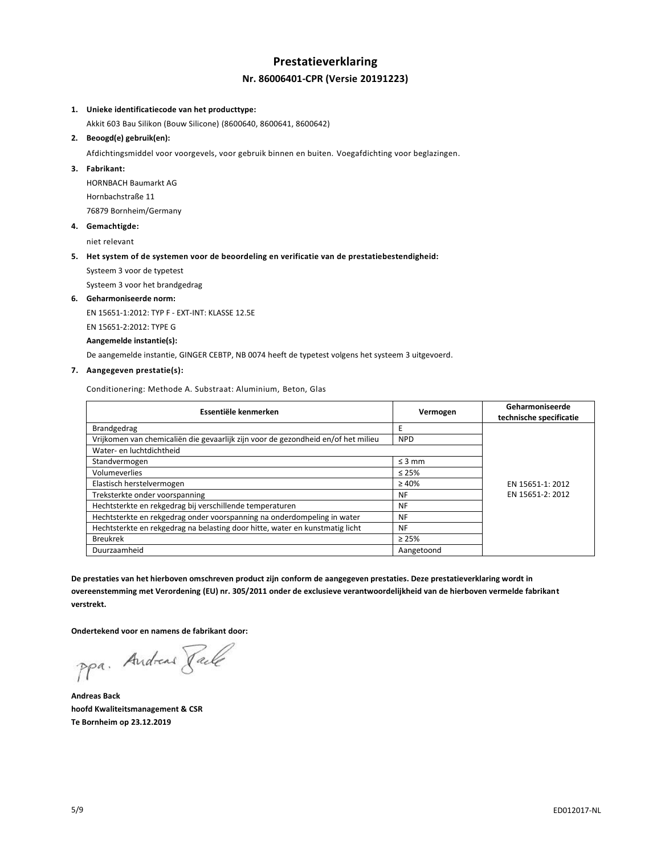# **Prestatieverklaring Nr. 86006401-CPR (Versie 20191223)**

## **1. Unieke identificatiecode van het producttype:**

Akkit 603 Bau Silikon (Bouw Silicone) (8600640, 8600641, 8600642)

### **2. Beoogd(e) gebruik(en):**

Afdichtingsmiddel voor voorgevels, voor gebruik binnen en buiten. Voegafdichting voor beglazingen.

### **3. Fabrikant:**

HORNBACH Baumarkt AG Hornbachstraße 11 76879 Bornheim/Germany

**4. Gemachtigde:**

niet relevant

## **5. Het system of de systemen voor de beoordeling en verificatie van de prestatiebestendigheid:**

Systeem 3 voor de typetest

Systeem 3 voor het brandgedrag

## **6. Geharmoniseerde norm:**

EN 15651-1:2012: TYP F - EXT-INT: KLASSE 12.5E

EN 15651-2:2012: TYPE G

# **Aangemelde instantie(s):**

De aangemelde instantie, GINGER CEBTP, NB 0074 heeft de typetest volgens het systeem 3 uitgevoerd.

# **7. Aangegeven prestatie(s):**

Conditionering: Methode A. Substraat: Aluminium, Beton, Glas

| Essentiële kenmerken                                                              | Vermogen    | Geharmoniseerde<br>technische specificatie |
|-----------------------------------------------------------------------------------|-------------|--------------------------------------------|
| Brandgedrag                                                                       | E           |                                            |
| Vrijkomen van chemicaliën die gevaarlijk zijn voor de gezondheid en/of het milieu | <b>NPD</b>  |                                            |
| Water- en luchtdichtheid                                                          |             |                                            |
| Standvermogen                                                                     | $\leq$ 3 mm |                                            |
| Volumeverlies                                                                     | $\leq 25\%$ |                                            |
| Elastisch herstelvermogen                                                         | $\geq 40\%$ | EN 15651-1: 2012                           |
| Treksterkte onder voorspanning                                                    | <b>NF</b>   | EN 15651-2: 2012                           |
| Hechtsterkte en rekgedrag bij verschillende temperaturen                          | <b>NF</b>   |                                            |
| Hechtsterkte en rekgedrag onder voorspanning na onderdompeling in water           | <b>NF</b>   |                                            |
| Hechtsterkte en rekgedrag na belasting door hitte, water en kunstmatig licht      | <b>NF</b>   |                                            |
| <b>Breukrek</b>                                                                   | $\geq 25\%$ |                                            |
| Duurzaamheid                                                                      | Aangetoond  |                                            |

**De prestaties van het hierboven omschreven product zijn conform de aangegeven prestaties. Deze prestatieverklaring wordt in overeenstemming met Verordening (EU) nr. 305/2011 onder de exclusieve verantwoordelijkheid van de hierboven vermelde fabrikant verstrekt.**

**Ondertekend voor en namens de fabrikant door:**

ppa. Andreas Face

**Andreas Back hoofd Kwaliteitsmanagement & CSR Te Bornheim op 23.12.2019**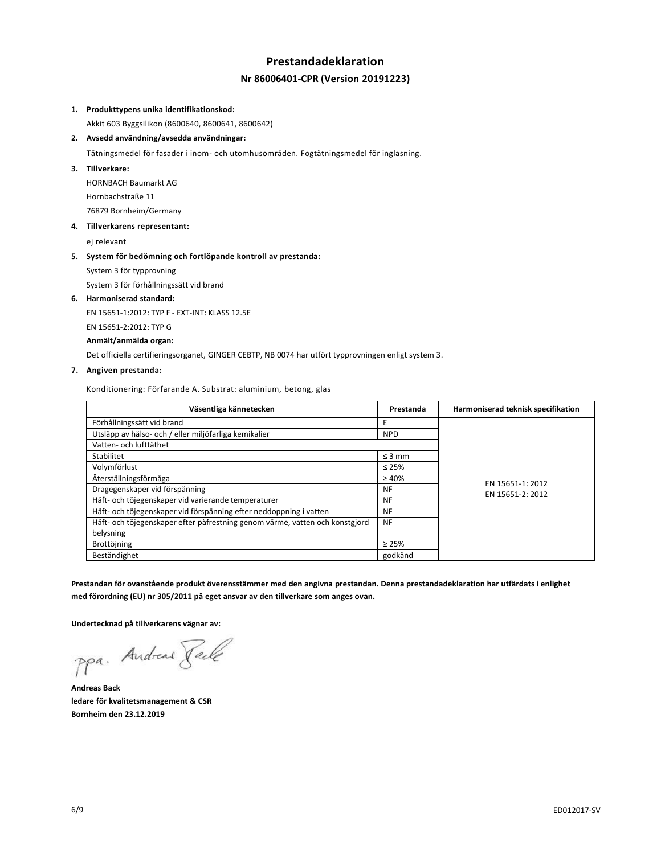# **Prestandadeklaration Nr 86006401-CPR (Version 20191223)**

## **1. Produkttypens unika identifikationskod:**

Akkit 603 Byggsilikon (8600640, 8600641, 8600642)

**2. Avsedd användning/avsedda användningar:**

Tätningsmedel för fasader i inom- och utomhusområden. Fogtätningsmedel för inglasning.

## **3. Tillverkare:**

HORNBACH Baumarkt AG Hornbachstraße 11 76879 Bornheim/Germany

# **4. Tillverkarens representant:**

ej relevant

## **5. System för bedömning och fortlöpande kontroll av prestanda:**

System 3 för typprovning

System 3 för förhållningssätt vid brand

### **6. Harmoniserad standard:**

EN 15651-1:2012: TYP F - EXT-INT: KLASS 12.5E

EN 15651-2:2012: TYP G

# **Anmält/anmälda organ:**

Det officiella certifieringsorganet, GINGER CEBTP, NB 0074 har utfört typprovningen enligt system 3.

## **7. Angiven prestanda:**

Konditionering: Förfarande A. Substrat: aluminium, betong, glas

| Väsentliga kännetecken                                                       | Prestanda   | Harmoniserad teknisk specifikation |
|------------------------------------------------------------------------------|-------------|------------------------------------|
| Förhållningssätt vid brand                                                   | F           |                                    |
| Utsläpp av hälso- och / eller miljöfarliga kemikalier                        | <b>NPD</b>  |                                    |
| Vatten- och lufttäthet                                                       |             |                                    |
| Stabilitet                                                                   | $\leq$ 3 mm |                                    |
| Volymförlust                                                                 | $\leq 25\%$ |                                    |
| Återställningsförmåga                                                        | $\geq 40\%$ | EN 15651-1: 2012                   |
| Dragegenskaper vid förspänning                                               | NF          | EN 15651-2: 2012                   |
| Häft- och töjegenskaper vid varierande temperaturer                          | <b>NF</b>   |                                    |
| Häft- och töjegenskaper vid förspänning efter neddoppning i vatten           | NF          |                                    |
| Häft- och töjegenskaper efter påfrestning genom värme, vatten och konstgjord | NF          |                                    |
| belysning                                                                    |             |                                    |
| Brottöjning                                                                  | $\geq 25\%$ |                                    |
| Beständighet                                                                 | godkänd     |                                    |

**Prestandan för ovanstående produkt överensstämmer med den angivna prestandan. Denna prestandadeklaration har utfärdats i enlighet med förordning (EU) nr 305/2011 på eget ansvar av den tillverkare som anges ovan.**

**Undertecknad på tillverkarens vägnar av:**

ppa. Andread Faile

**Andreas Back ledare för kvalitetsmanagement & CSR Bornheim den 23.12.2019**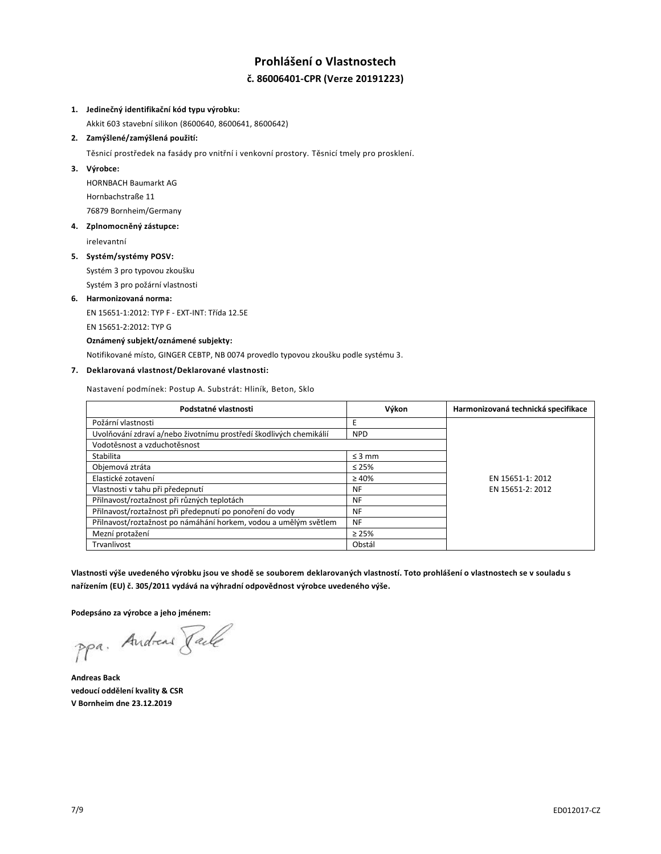# **Prohlášení o Vlastnostech č. 86006401-CPR (Verze 20191223)**

## **1. Jedinečný identifikační kód typu výrobku:**

Akkit 603 stavební silikon (8600640, 8600641, 8600642)

# **2. Zamýšlené/zamýšlená použití:**

Těsnicí prostředek na fasády pro vnitřní i venkovní prostory. Těsnicí tmely pro prosklení.

## **3. Výrobce:**

HORNBACH Baumarkt AG Hornbachstraße 11 76879 Bornheim/Germany

# **4. Zplnomocněný zástupce:**

irelevantní

## **5. Systém/systémy POSV:**

Systém 3 pro typovou zkoušku Systém 3 pro požární vlastnosti

# **6. Harmonizovaná norma:**

EN 15651-1:2012: TYP F - EXT-INT: Třída 12.5E EN 15651-2:2012: TYP G

# **Oznámený subjekt/oznámené subjekty:**

Notifikované místo, GINGER CEBTP, NB 0074 provedlo typovou zkoušku podle systému 3.

# **7. Deklarovaná vlastnost/Deklarované vlastnosti:**

Nastavení podmínek: Postup A. Substrát: Hliník, Beton, Sklo

| Podstatné vlastnosti                                               | Výkon       | Harmonizovaná technická specifikace |
|--------------------------------------------------------------------|-------------|-------------------------------------|
| Požární vlastnosti                                                 | Е           |                                     |
| Uvolňování zdraví a/nebo životnímu prostředí škodlivých chemikálií | <b>NPD</b>  |                                     |
| Vodotěsnost a vzduchotěsnost                                       |             |                                     |
| Stabilita                                                          | $\leq$ 3 mm |                                     |
| Objemová ztráta                                                    | $\leq 25\%$ |                                     |
| Elastické zotavení                                                 | $\geq 40\%$ | EN 15651-1: 2012                    |
| Vlastnosti v tahu při předepnutí                                   | <b>NF</b>   | EN 15651-2: 2012                    |
| Přilnavost/roztažnost při různých teplotách                        | NF          |                                     |
| Přilnavost/roztažnost při předepnutí po ponoření do vody           | NF          |                                     |
| Přilnavost/roztažnost po námáhání horkem, vodou a umělým světlem   | <b>NF</b>   |                                     |
| Mezní protažení                                                    | $\geq 25\%$ |                                     |
| Trvanlivost                                                        | Obstál      |                                     |

**Vlastnosti výše uvedeného výrobku jsou ve shodě se souborem deklarovaných vlastností. Toto prohlášení o vlastnostech se v souladu s nařízením (EU) č. 305/2011 vydává na výhradní odpovědnost výrobce uvedeného výše.**

**Podepsáno za výrobce a jeho jménem:**

ppa. Andreas Faile

**Andreas Back vedoucí oddělení kvality & CSR V Bornheim dne 23.12.2019**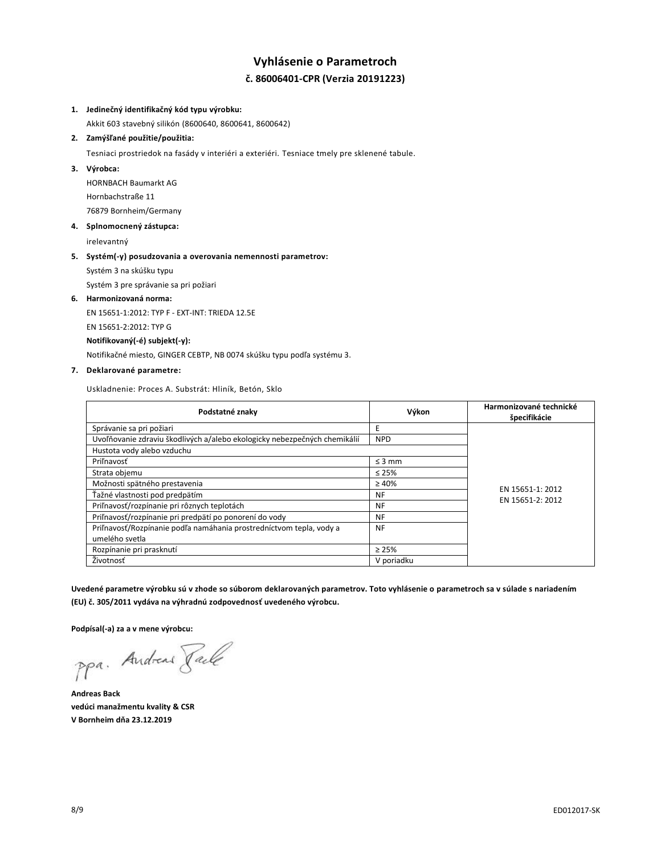# **Vyhlásenie o Parametroch č. 86006401-CPR (Verzia 20191223)**

## **1. Jedinečný identifikačný kód typu výrobku:**

Akkit 603 stavebný silikón (8600640, 8600641, 8600642)

# **2. Zamýšľané použitie/použitia:**

Tesniaci prostriedok na fasády v interiéri a exteriéri. Tesniace tmely pre sklenené tabule.

### **3. Výrobca:**

HORNBACH Baumarkt AG Hornbachstraße 11 76879 Bornheim/Germany

# **4. Splnomocnený zástupca:**

irelevantný

## **5. Systém(-y) posudzovania a overovania nemennosti parametrov:**

Systém 3 na skúšku typu

Systém 3 pre správanie sa pri požiari

#### **6. Harmonizovaná norma:**

EN 15651-1:2012: TYP F - EXT-INT: TRIEDA 12.5E

EN 15651-2:2012: TYP G

## **Notifikovaný(-é) subjekt(-y):**

Notifikačné miesto, GINGER CEBTP, NB 0074 skúšku typu podľa systému 3.

## **7. Deklarované parametre:**

Uskladnenie: Proces A. Substrát: Hliník, Betón, Sklo

| Podstatné znaky                                                           | Výkon       | Harmonizované technické<br>špecifikácie |
|---------------------------------------------------------------------------|-------------|-----------------------------------------|
| Správanie sa pri požiari                                                  | E           |                                         |
| Uvoľňovanie zdraviu škodlivých a/alebo ekologicky nebezpečných chemikálií | <b>NPD</b>  |                                         |
| Hustota vody alebo vzduchu                                                |             |                                         |
| Priľnavosť                                                                | $\leq$ 3 mm |                                         |
| Strata objemu                                                             | $\leq 25\%$ | EN 15651-1: 2012<br>EN 15651-2: 2012    |
| Možnosti spätného prestavenia                                             | $\geq 40\%$ |                                         |
| Ťažné vlastnosti pod predpätím                                            | <b>NF</b>   |                                         |
| Priľnavosť/rozpínanie pri rôznych teplotách                               | <b>NF</b>   |                                         |
| Priľnavosť/rozpínanie pri predpätí po ponorení do vody                    | <b>NF</b>   |                                         |
| Priľnavosť/Rozpínanie podľa namáhania prostredníctvom tepla, vody a       | <b>NF</b>   |                                         |
| umelého svetla                                                            |             |                                         |
| Rozpínanie pri prasknutí                                                  | $\geq 25\%$ |                                         |
| Životnosť                                                                 | V poriadku  |                                         |

**Uvedené parametre výrobku sú v zhode so súborom deklarovaných parametrov. Toto vyhlásenie o parametroch sa v súlade s nariadením (EU) č. 305/2011 vydáva na výhradnú zodpovednosť uvedeného výrobcu.**

**Podpísal(-a) za a v mene výrobcu:**

ppa. Andreas Pale

**Andreas Back vedúci manažmentu kvality & CSR V Bornheim dňa 23.12.2019**